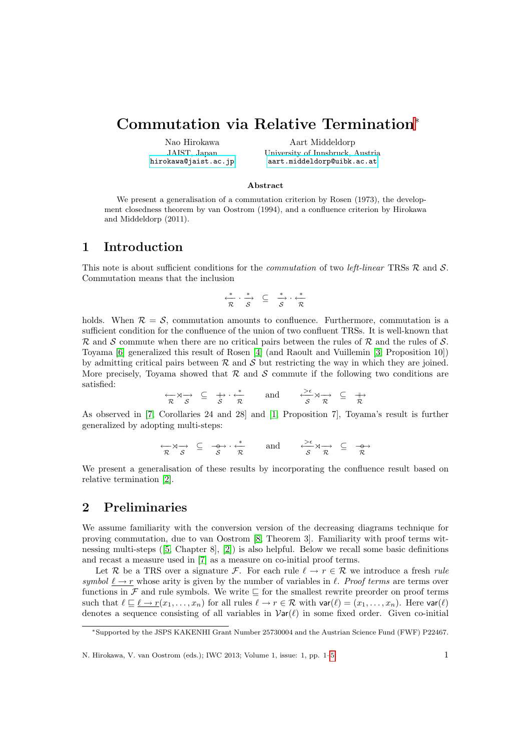# Commutation via Relative Termination<sup>∗</sup>

Nao Hirokawa JAIST, Japan <hirokawa@jaist.ac.jp>

Aart Middeldorp University of Innsbruck, Austria <aart.middeldorp@uibk.ac.at>

#### Abstract

We present a generalisation of a commutation criterion by Rosen (1973), the development closedness theorem by van Oostrom (1994), and a confluence criterion by Hirokawa and Middeldorp (2011).

#### 1 Introduction

This note is about sufficient conditions for the *commutation* of two *left-linear* TRSs  $\mathcal{R}$  and  $\mathcal{S}$ . Commutation means that the inclusion

$$
\stackrel{*}{\underset{\mathcal{R}}{\longleftarrow}} \cdot \stackrel{*}{\underset{\mathcal{S}}{\longrightarrow}} \quad \subseteq \quad \stackrel{*}{\underset{\mathcal{S}}{\longrightarrow}} \cdot \stackrel{*}{\underset{\mathcal{R}}{\longleftarrow}}
$$

holds. When  $\mathcal{R} = \mathcal{S}$ , commutation amounts to confluence. Furthermore, commutation is a sufficient condition for the confluence of the union of two confluent TRSs. It is well-known that  $\mathcal R$  and  $\mathcal S$  commute when there are no critical pairs between the rules of  $\mathcal R$  and the rules of  $\mathcal S$ . Toyama [\[6\]](#page-4-0) generalized this result of Rosen [\[4\]](#page-4-1) (and Raoult and Vuillemin [\[3,](#page-4-2) Proposition 10]) by admitting critical pairs between  $R$  and  $S$  but restricting the way in which they are joined. More precisely, Toyama showed that  $\mathcal R$  and  $\mathcal S$  commute if the following two conditions are satisfied:

$$
\begin{array}{rcl}\n\overleftrightarrow{\pi} \times \rightarrow & \subseteq & \xrightarrow{\quad} \cdot \stackrel{*}{\leftarrow} \\
\overleftrightarrow{\pi} & S & \overleftrightarrow{\pi}\n\end{array}\n\quad \text{and} \quad\n\begin{array}{rcl}\n\overleftrightarrow{\pi} \times \rightarrow & \subseteq & \xrightarrow{\quad} \\
\overleftrightarrow{\pi} \times \rightarrow & \subseteq & \overleftrightarrow{\pi}\n\end{array}
$$

As observed in [\[7,](#page-4-3) Corollaries 24 and 28] and [\[1,](#page-4-4) Proposition 7], Toyama's result is further generalized by adopting multi-steps:

$$
\xrightarrow[\mathcal{R}]{\sim} \mathcal{S} \xrightarrow{\sim} \xrightarrow{\circ} \mathcal{S} \cdot \xleftarrow{\ast} \text{ and } \xrightarrow{\searrow \epsilon} \mathcal{S} \xrightarrow{\sim} \xrightarrow{\circ} \xrightarrow{\circ} \mathcal{R}
$$

We present a generalisation of these results by incorporating the confluence result based on relative termination [\[2\]](#page-4-5).

# 2 Preliminaries

We assume familiarity with the conversion version of the decreasing diagrams technique for proving commutation, due to van Oostrom [\[8,](#page-4-6) Theorem 3]. Familiarity with proof terms witnessing multi-steps ([\[5,](#page-4-7) Chapter 8], [\[2\]](#page-4-5)) is also helpful. Below we recall some basic definitions and recast a measure used in [\[7\]](#page-4-3) as a measure on co-initial proof terms.

Let R be a TRS over a signature F. For each rule  $\ell \to r \in \mathcal{R}$  we introduce a fresh rule symbol  $\ell \to r$  whose arity is given by the number of variables in  $\ell$ . Proof terms are terms over functions in  $\mathcal F$  and rule symbols. We write  $\sqsubset$  for the smallest rewrite preorder on proof terms such that  $\ell \sqsubseteq \ell \to r(x_1, \ldots, x_n)$  for all rules  $\ell \to r \in \mathcal{R}$  with  $\text{var}(\ell) = (x_1, \ldots, x_n)$ . Here  $\text{var}(\ell)$ denotes a sequence consisting of all variables in  $\text{Var}(\ell)$  in some fixed order. Given co-initial

N. Hirokawa, V. van Oostrom (eds.); IWC 2013; Volume 1, issue: 1, pp. 1[–5](#page-4-8) 1

<sup>∗</sup>Supported by the JSPS KAKENHI Grant Number 25730004 and the Austrian Science Fund (FWF) P22467.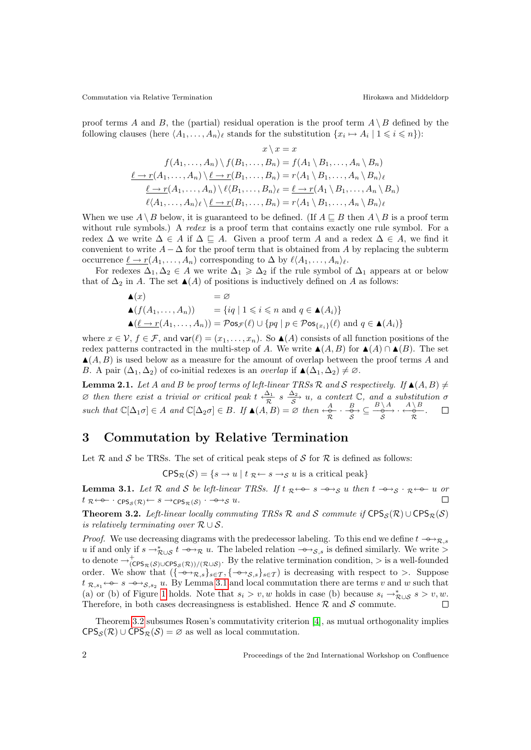Commutation via Relative Termination and Middeldorp Hirokawa and Middeldorp

proof terms A and B, the (partial) residual operation is the proof term  $A \setminus B$  defined by the following clauses (here  $\langle A_1, \ldots, A_n \rangle_\ell$  stands for the substitution  $\{x_i \mapsto A_i \mid 1 \leqslant i \leqslant n\}$ ):

$$
x \setminus x = x
$$
  

$$
f(A_1, ..., A_n) \setminus f(B_1, ..., B_n) = f(A_1 \setminus B_1, ..., A_n \setminus B_n)
$$
  

$$
\underbrace{\ell \to r(A_1, ..., A_n) \setminus \ell \to r(B_1, ..., B_n)} = r\langle A_1 \setminus B_1, ..., A_n \setminus B_n \rangle_{\ell}
$$
  

$$
\underbrace{\ell \to r(A_1, ..., A_n) \setminus \ell(B_1, ..., B_n)}_{\ell \setminus A_1, ..., A_n \setminus B_n} = \underbrace{\ell \to r(A_1 \setminus B_1, ..., A_n \setminus B_n)}_{\ell \setminus A_1, ..., A_n \setminus B_n \setminus \ell}
$$

When we use  $A \setminus B$  below, it is guaranteed to be defined. (If  $A \sqsubseteq B$  then  $A \setminus B$  is a proof term without rule symbols.) A *redex* is a proof term that contains exactly one rule symbol. For a redex  $\Delta$  we write  $\Delta \in A$  if  $\Delta \subseteq A$ . Given a proof term A and a redex  $\Delta \in A$ , we find it convenient to write  $A - \Delta$  for the proof term that is obtained from A by replacing the subterm occurrence  $\underline{\ell} \to r(A_1, \ldots, A_n)$  corresponding to  $\Delta$  by  $\ell \langle A_1, \ldots, A_n \rangle_{\ell}$ .

For redexes  $\Delta_1, \Delta_2 \in A$  we write  $\Delta_1 \geq \Delta_2$  if the rule symbol of  $\Delta_1$  appears at or below that of  $\Delta_2$  in A. The set  $\blacktriangle(A)$  of positions is inductively defined on A as follows:

$$
\begin{aligned}\n\blacktriangle(x) &= \varnothing \\
\blacktriangle(f(A_1, \dots, A_n)) &= \{iq \mid 1 \leq i \leq n \text{ and } q \in \blacktriangle(A_i)\} \\
\blacktriangle(\underline{\ell \to r}(A_1, \dots, A_n)) &= \mathcal{P} \text{os}_{\mathcal{F}}(\ell) \cup \{pq \mid p \in \mathcal{P} \text{os}_{\{x_i\}}(\ell) \text{ and } q \in \blacktriangle(A_i)\}\n\end{aligned}
$$

where  $x \in \mathcal{V}, f \in \mathcal{F}$ , and  $var(\ell) = (x_1, \ldots, x_n)$ . So  $\blacktriangle(A)$  consists of all function positions of the redex patterns contracted in the multi-step of A. We write  $\blacktriangle(A, B)$  for  $\blacktriangle(A) \cap \blacktriangle(B)$ . The set  $\blacktriangle(A, B)$  is used below as a measure for the amount of overlap between the proof terms A and B. A pair  $(\Delta_1, \Delta_2)$  of co-initial redexes is an *overlap* if  $\blacktriangle(\Delta_1, \Delta_2) \neq \emptyset$ .

<span id="page-1-2"></span>**Lemma 2.1.** Let A and B be proof terms of left-linear TRSs R and S respectively. If  $\blacktriangle(A, B) \neq$  $\varnothing$  then there exist a trivial or critical peak t  $\frac{\Delta_1}{\mathcal{P}}$  $\frac{\Delta_1}{\mathcal{R}}$  s  $\frac{\Delta_2}{\mathcal{S}}$  u, a context  $\mathbb{C}$ , and a substitution  $\sigma$ such that  $\mathbb{C}[\Delta_1 \sigma] \in A$  and  $\mathbb{C}[\Delta_2 \sigma] \in B$ . If  $\blacktriangle(A, B) = \varnothing$  then  $\leftrightarrow \alpha \leftrightarrow \beta \leftrightarrow \beta \leftrightarrow \beta \leftrightarrow \beta \leftrightarrow \beta$ .  $\Box$ 

## 3 Commutation by Relative Termination

Let  $\mathcal R$  and  $\mathcal S$  be TRSs. The set of critical peak steps of  $\mathcal S$  for  $\mathcal R$  is defined as follows:

 $CPS_{\mathcal{R}}(\mathcal{S}) = \{s \to u \mid t \notin \mathcal{R} \hookrightarrow s \to s u \text{ is a critical peak}\}\$ 

<span id="page-1-0"></span>**Lemma 3.1.** Let R and S be left-linear TRSs. If  $t \underset{\infty}{\mathcal{R}} \leftarrow \underset{\infty}{\mathcal{S}}$  u then  $t \rightarrow s \times \mathcal{S}$  and  $\mathcal{S}$  is  $\mathcal{S} \leftarrow \mathcal{S}$  is  $\mathcal{S} \leftarrow \mathcal{S}$  $t\; \mathcal{R}^{\leftarrow\mathbf{\Theta}\mathbf{-}}\cdot \mathsf{CPS}_\mathcal{S}(\mathcal{R})^{\leftarrow} \stackrel{s}{\longrightarrow} \mathsf{CPS}_\mathcal{R}(\mathcal{S})\stackrel{\cdot}{\longrightarrow} \stackrel{\mathbf{\Theta}\mathbf{\to} \mathcal{S}}{\longrightarrow} u.$  $\Box$ 

<span id="page-1-1"></span>Theorem 3.2. Left-linear locally commuting TRSs R and S commute if  $CPS_{\mathcal{S}}(\mathcal{R}) \cup CPS_{\mathcal{R}}(\mathcal{S})$ is relatively terminating over  $\mathcal{R} \cup \mathcal{S}$ .

*Proof.* We use decreasing diagrams with the predecessor labeling. To this end we define  $t \rightarrow \gamma_{\mathcal{R},s}$ u if and only if  $s \to_{\mathcal{R}\cup\mathcal{S}}^* t \to_{\mathcal{R}} u$ . The labeled relation  $\to_{\mathcal{S},s}$  is defined similarly. We write > to denote  $\rightarrow_{\text{(CPS}_{\mathcal{R}}(\mathcal{S})\cup\text{CPS}_{\mathcal{S}}(\mathcal{R}))/\mathcal{(R}\cup\mathcal{S})}^{\text{L}}$ . By the relative termination condition,  $>$  is a well-founded order. We show that  $\left\{\left\{\left(-\right), \left(-\right), \left(-\right), \cdots, \left(-\right)\right\}\right\} \in \mathcal{T}, \left\{\left(-\right), \left(-\right), \cdots, \left(-\right)\right\}$  is decreasing with respect to >. Suppose  $t \mathcal{R}, s_1 \leftarrow s - s \rightarrow s, s_2 u$ . By Lemma [3.1](#page-1-0) and local commutation there are terms v and w such that (a) or (b) of Figure [1](#page-2-0) holds. Note that  $s_i > v, w$  holds in case (b) because  $s_i \to_{\mathcal{R}\cup\mathcal{S}} s > v, w$ . Therefore, in both cases decreasingness is established. Hence  $R$  and  $S$  commute.  $\Box$ 

Theorem [3.2](#page-1-1) subsumes Rosen's commutativity criterion [\[4\]](#page-4-1), as mutual orthogonality implies  $CPS_{\mathcal{S}}(\mathcal{R}) \cup CPS_{\mathcal{R}}(\mathcal{S}) = \emptyset$  as well as local commutation.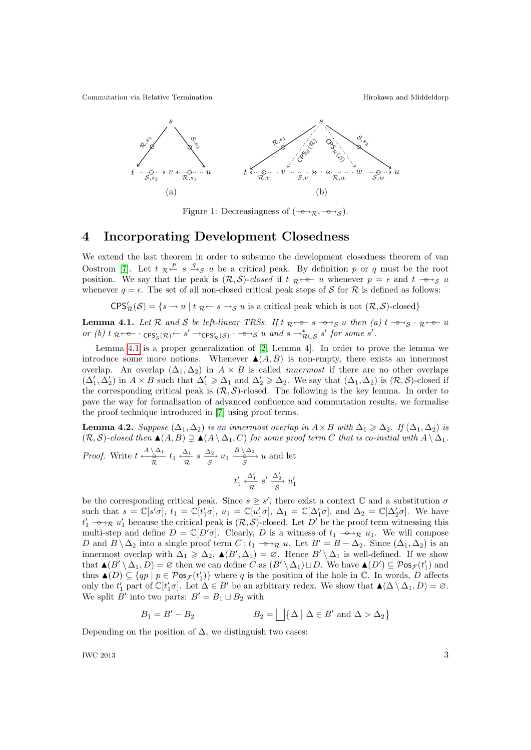Commutation via Relative Termination and Middeldorp Hirokawa and Middeldorp



<span id="page-2-0"></span>Figure 1: Decreasingness of  $(-\rightarrow \mathbb{R}, -\rightarrow s)$ .

### 4 Incorporating Development Closedness

We extend the last theorem in order to subsume the development closedness theorem of van Oostrom [\[7\]](#page-4-3). Let  $t \neq \frac{p}{s}$   $\Rightarrow$   $s$  u be a critical peak. By definition p or q must be the root position. We say that the peak is  $(R, S)$ -closed if  $t \neq 0$  whenever  $p = \epsilon$  and  $t \rightarrow S$  u whenever  $q = \epsilon$ . The set of all non-closed critical peak steps of S for R is defined as follows:

 $CPS_{\mathcal{R}}'(\mathcal{S}) = \{s \to u \mid t \not\subset s \to s \text{ and } u \text{ is a critical peak which is not } (\mathcal{R}, \mathcal{S})\text{-closed}\}\$ 

<span id="page-2-1"></span>**Lemma 4.1.** Let R and S be left-linear TRSs. If t  $\mathcal{R} \leftarrow \mathcal{S} \rightarrow \mathcal{S}$  u then (a) t  $\rightarrow \mathcal{S} \cdot \mathcal{R} \leftarrow \mathcal{S}$  u or (b)  $t \underset{\mathcal{R}}{\kappa} \leftarrow \text{cps}'_{\mathcal{S}}(\mathcal{R}) \leftarrow s' \rightarrow \text{cps}'_{\mathcal{R}}(\mathcal{S}) \leftarrow \rightarrow \text{cps}' u$  and  $s \rightarrow^*_{\mathcal{R} \cup \mathcal{S}} s'$  for some s'.

Lemma [4.1](#page-2-1) is a proper generalization of [\[2,](#page-4-5) Lemma 4]. In order to prove the lemma we introduce some more notions. Whenever  $\blacktriangle(A, B)$  is non-empty, there exists an innermost overlap. An overlap  $(\Delta_1, \Delta_2)$  in  $A \times B$  is called *innermost* if there are no other overlaps  $(\Delta_1', \Delta_2')$  in  $A \times B$  such that  $\Delta_1' \geq \Delta_1$  and  $\Delta_2' \geq \Delta_2$ . We say that  $(\Delta_1, \Delta_2)$  is  $(\mathcal{R}, \mathcal{S})$ -closed if the corresponding critical peak is  $(\mathcal{R}, \mathcal{S})$ -closed. The following is the key lemma. In order to pave the way for formalisation of advanced confluence and commutation results, we formalise the proof technique introduced in [\[7\]](#page-4-3) using proof terms.

<span id="page-2-2"></span>**Lemma 4.2.** Suppose  $(\Delta_1, \Delta_2)$  is an innermost overlap in  $A \times B$  with  $\Delta_1 \geq \Delta_2$ . If  $(\Delta_1, \Delta_2)$  is  $(R, S)$ -closed then  $\blacktriangle(A, B) \supseteq \blacktriangle(A \setminus \Delta_1, C)$  for some proof term C that is co-initial with  $A \setminus \Delta_1$ . *Proof.* Write  $t \stackrel{A \setminus \Delta_1}{\longrightarrow} t_1 \stackrel{\Delta_1}{\longrightarrow}$  $\frac{\Delta_1}{\mathcal{R}} s \xrightarrow{ \Delta_2} u_1 \xrightarrow[ \mathcal{S}]{} u_2 \xrightarrow[ \mathcal{S}]{} u$  and let  $\Delta_1'$ 

$$
t_1' \xleftarrow{\Delta_1'} s' \xrightarrow{\Delta_2'} u_1'
$$

be the corresponding critical peak. Since  $s \geq s'$ , there exist a context C and a substitution  $\sigma$ such that  $s = \mathbb{C}[s'\sigma], t_1 = \mathbb{C}[t'_1\sigma], u_1 = \mathbb{C}[u'_1\sigma], \Delta_1 = \mathbb{C}[\Delta'_1\sigma],$  and  $\Delta_2 = \mathbb{C}[\Delta'_2\sigma].$  We have  $t'_1 \rightarrow \rightarrow \mathcal{R}$  u'<sub>1</sub> because the critical peak is  $(\mathcal{R}, \mathcal{S})$ -closed. Let D' be the proof term witnessing this multi-step and define  $D = \mathbb{C}[D'\sigma]$ . Clearly, D is a witness of  $t_1 \rightarrow \rightarrow \mathbb{R}$   $u_1$ . We will compose D and  $B \setminus \Delta_2$  into a single proof term  $C: t_1 \rightarrow \rightarrow \mathbb{R}$  u. Let  $B' = B - \Delta_2$ . Since  $(\Delta_1, \Delta_2)$  is an innermost overlap with  $\Delta_1 \geqslant \Delta_2$ ,  $\blacktriangle (B', \Delta_1) = \varnothing$ . Hence  $B' \setminus \Delta_1$  is well-defined. If we show that  $\blacktriangle(B' \setminus \Delta_1, D) = \varnothing$  then we can define  $C$  as  $(B' \setminus \Delta_1) \sqcup D$ . We have  $\blacktriangle(D') \subseteq \mathcal{P}$ os $\mathcal{F}(t'_1)$  and thus  $\blacktriangle(D) \subseteq \{qp \mid p \in \mathcal{P} \text{os}_{\mathcal{F}}(t_1')\}$  where q is the position of the hole in  $\mathbb{C}$ . In words, D affects only the  $t'_1$  part of  $\mathbb{C}[t'_1 \sigma]$ . Let  $\Delta \in B'$  be an arbitrary redex. We show that  $\blacktriangle(\Delta \setminus \Delta_1, D) = \varnothing$ . We split  $B'$  into two parts:  $B' = B_1 \sqcup B_2$  with

$$
B_1 = B' - B_2 \qquad \qquad B_2 = \bigsqcup \{ \Delta \mid \Delta \in B' \text{ and } \Delta > \Delta_2 \}
$$

Depending on the position of  $\Delta$ , we distinguish two cases:

IWC 2013  $\sim$  3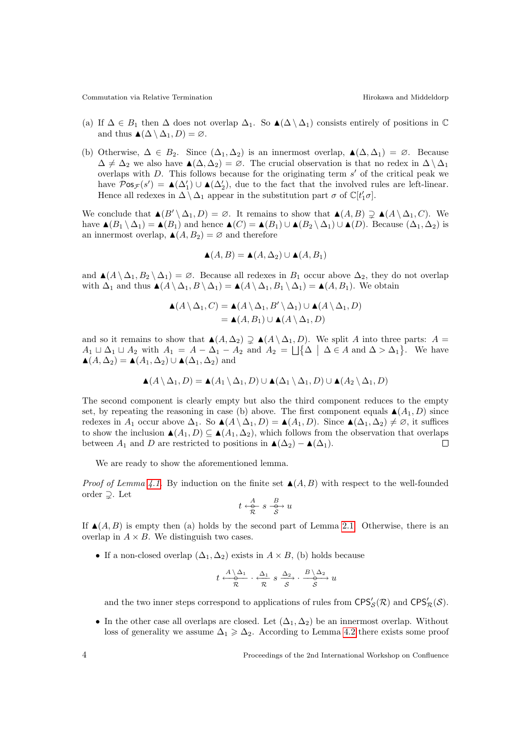Commutation via Relative Termination and Middeldorp Hirokawa and Middeldorp

- (a) If  $\Delta \in B_1$  then  $\Delta$  does not overlap  $\Delta_1$ . So  $\blacktriangle(\Delta \setminus \Delta_1)$  consists entirely of positions in  $\mathbb C$ and thus  $\blacktriangle(\Delta \setminus \Delta_1, D) = \varnothing$ .
- (b) Otherwise,  $\Delta \in B_2$ . Since  $(\Delta_1, \Delta_2)$  is an innermost overlap,  $\blacktriangle(\Delta, \Delta_1) = \varnothing$ . Because  $\Delta \neq \Delta_2$  we also have  $\blacktriangle(\Delta, \Delta_2) = \varnothing$ . The crucial observation is that no redex in  $\Delta \setminus \Delta_1$ overlaps with  $D$ . This follows because for the originating term  $s'$  of the critical peak we have  $\mathcal{P}$ os<sub> $\mathcal{F}(s') = \triangle(\Delta'_1) \cup \triangle(\Delta'_2)$ , due to the fact that the involved rules are left-linear.</sub> Hence all redexes in  $\Delta \setminus \Delta_1$  appear in the substitution part  $\sigma$  of  $\mathbb{C}[t'_1\sigma]$ .

We conclude that  $\blacktriangle (B' \setminus \Delta_1, D) = \emptyset$ . It remains to show that  $\blacktriangle (A, B) \supsetneq \blacktriangle (A \setminus \Delta_1, C)$ . We have  $\blacktriangle (B_1 \setminus \Delta_1) = \blacktriangle (B_1)$  and hence  $\blacktriangle (C) = \blacktriangle (B_1) \cup \blacktriangle (B_2 \setminus \Delta_1) \cup \blacktriangle (D)$ . Because  $(\Delta_1, \Delta_2)$  is an innermost overlap,  $\blacktriangle(A, B_2) = \varnothing$  and therefore

$$
\blacktriangle(A, B) = \blacktriangle(A, \Delta_2) \cup \blacktriangle(A, B_1)
$$

and  $\blacktriangle(A \setminus \Delta_1, B_2 \setminus \Delta_1) = \varnothing$ . Because all redexes in  $B_1$  occur above  $\Delta_2$ , they do not overlap with  $\Delta_1$  and thus  $\blacktriangle(A \setminus \Delta_1, B \setminus \Delta_1) = \blacktriangle(A \setminus \Delta_1, B_1 \setminus \Delta_1) = \blacktriangle(A, B_1)$ . We obtain

$$
\begin{aligned} \blacktriangle(A \setminus \Delta_1, C) &= \blacktriangle(A \setminus \Delta_1, B' \setminus \Delta_1) \cup \blacktriangle(A \setminus \Delta_1, D) \\ &= \blacktriangle(A, B_1) \cup \blacktriangle(A \setminus \Delta_1, D) \end{aligned}
$$

and so it remains to show that  $\blacktriangle(A, \Delta_2) \supsetneq \blacktriangle(A \setminus \Delta_1, D)$ . We split A into three parts: A =  $A_1 \sqcup \Delta_1 \sqcup A_2$  with  $A_1 = A - \Delta_1 - A_2$  and  $A_2 = \bigsqcup \{\Delta \mid \Delta \in A \text{ and } \Delta > \Delta_1\}$ . We have  $\blacktriangle(A, \Delta_2) = \blacktriangle(A_1, \Delta_2) \cup \blacktriangle(\Delta_1, \Delta_2)$  and

$$
\blacktriangle(A \setminus \Delta_1, D) = \blacktriangle(A_1 \setminus \Delta_1, D) \cup \blacktriangle(\Delta_1 \setminus \Delta_1, D) \cup \blacktriangle(A_2 \setminus \Delta_1, D)
$$

The second component is clearly empty but also the third component reduces to the empty set, by repeating the reasoning in case (b) above. The first component equals  $\blacktriangle(A_1, D)$  since redexes in  $A_1$  occur above  $\Delta_1$ . So  $\blacktriangle(A \setminus \Delta_1, D) = \blacktriangle(A_1, D)$ . Since  $\blacktriangle(\Delta_1, \Delta_2) \neq \emptyset$ , it suffices to show the inclusion  $\blacktriangle(A_1, D) \subseteq \blacktriangle(A_1, \Delta_2)$ , which follows from the observation that overlaps between  $A_1$  and D are restricted to positions in  $\blacktriangle(\Delta_2) - \blacktriangle(\Delta_1)$ .  $\Box$ 

We are ready to show the aforementioned lemma.

*Proof of Lemma [4.1.](#page-2-1)* By induction on the finite set  $\blacktriangle(A, B)$  with respect to the well-founded order  $\supset$ . Let

$$
t\overset{A}{\underset{\mathcal{R}}{\longleftrightarrow}}s\overset{B}{\underset{\mathcal{S}}{\longrightarrow}}u
$$

If  $\blacktriangle(A, B)$  is empty then (a) holds by the second part of Lemma [2.1.](#page-1-2) Otherwise, there is an overlap in  $A \times B$ . We distinguish two cases.

• If a non-closed overlap  $(\Delta_1, \Delta_2)$  exists in  $A \times B$ , (b) holds because

$$
t \xrightarrow{\begin{array}{c} A \setminus \Delta_1 \\ \hline \mathcal{R} \end{array}} \cdot \xrightarrow{\begin{array}{c} \Delta_1 \\ \hline \mathcal{R} \end{array}} s \xrightarrow{\begin{array}{c} \Delta_2 \\ \hline \mathcal{S} \end{array}} \cdot \xrightarrow{\begin{array}{c} B \setminus \Delta_2 \\ \hline \mathcal{S} \end{array}} u
$$

and the two inner steps correspond to applications of rules from  $CPS'_{\mathcal{S}}(\mathcal{R})$  and  $CPS'_{\mathcal{R}}(\mathcal{S})$ .

• In the other case all overlaps are closed. Let  $(\Delta_1, \Delta_2)$  be an innermost overlap. Without loss of generality we assume  $\Delta_1 \geq \Delta_2$ . According to Lemma [4.2](#page-2-2) there exists some proof